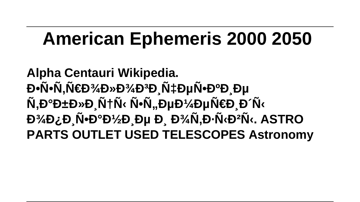# **American Ephemeris 2000 2050**

**Alpha Centauri Wikipedia.** *<b>* Ε<del>ν</del>λοπολίο Ειλλον Γ΄, Εναλογή το Γ΄, Εναλογή το Γ΄, Εναλογή το Γ΄, Εναλογή το Γ', Εναλογή το Γ', Εναλογή το Γ',  $\tilde{\mathsf{N}},\mathsf{D}^{\circ}\mathsf{D}_{\pm}\mathsf{D}_{\aleph}\mathsf{D}_{\pm}\tilde{\mathsf{N}}$ † N+Ñ ‹ N**+N**, DuĐ¼ DuÑ€Đ Đ´Ñ ‹  $D^3$ 4D¿Đ, Ñ•Đ°Đ1/2Đ, е Đ, Đ<sup>3</sup>/4Ñ,Đ·Ñ‹Đ<sup>2</sup>Ñ‹. ASTRO **PARTS OUTLET USED TELESCOPES Astronomy**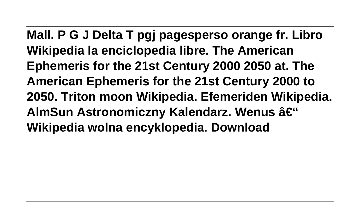**Mall. P G J Delta T pgj pagesperso orange fr. Libro Wikipedia la enciclopedia libre. The American Ephemeris for the 21st Century 2000 2050 at. The American Ephemeris for the 21st Century 2000 to 2050. Triton moon Wikipedia. Efemeriden Wikipedia. AlmSun Astronomiczny Kalendarz. Wenus – Wikipedia wolna encyklopedia. Download**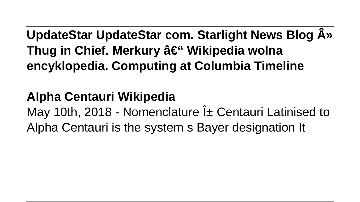**UpdateStar UpdateStar com. Starlight News Blog »** Thug in Chief. Merkury – Wikipedia wolna **encyklopedia. Computing at Columbia Timeline**

### **Alpha Centauri Wikipedia**

May 10th, 2018 - Nomenclature  $i<sub>±</sub>$  Centauri Latinised to Alpha Centauri is the system s Bayer designation It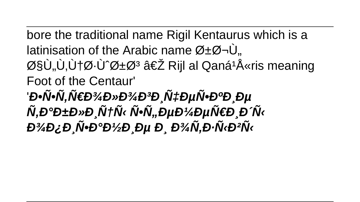bore the traditional name Rigil Kentaurus which is a latinisation of the Arabic name  $\varnothing \pm \varnothing \neg \dot\cup$ . اÙ"Ù,Ù†Ø⋅Ù^رØ<sup>3</sup> ‎ Rijl al Qaná<sup>1</sup>Å«ris meaning Foot of the Centaur' *`Đ•Ñ•Ñ.Ñ€Đ¾Đ»Đ¾ĐªĐ*.чĐμÑ•ĐªĐ Đµ Ñ,аблРцÑ‹ Ñ•Ñ,,еĐ¼ĐµÑ€Đ Đ´Ñ‹  $D^3$   $4D$ ,  $D$   $\tilde{N}$   $\cdot$   $D$   $\cdot$   $D$   $\cdot$   $D$   $D$   $D$   $D$   $\tilde{N}$ ,  $D$   $\cdot$   $\tilde{N}$   $\cdot$   $D$   $\cdot$   $\tilde{N}$   $\cdot$   $D$   $\cdot$   $\tilde{N}$   $\cdot$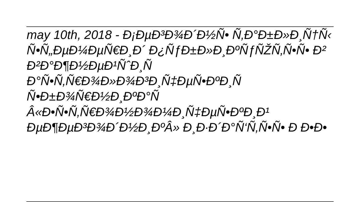may 10th, 2018 - Đ<sub>i</sub>еĐ<sup>3</sup>Đ¾Đ Đ¼N · N,Đ °Đ±Đ »Đ NTN « ѕфеĐ¼ĐµÑ€Đ Đ´ Đ¿ÑfблРĐºÑfÑŽÑ,ѕѕ Đ2 важнейшиÑ аÑ•Ñ.Ñ€Đ¾Đ»Đ¾ĐĐ Ñ‡ĐµÑ•ĐºĐ Ñ Ñ•Đ±Đ¾Ñ€Đ½Đ ĐºĐ°Ñ  $\hat{A}$ «Đ•Ñ•Ñ.Ñ€Đ¾Đ½Đ¾Đ¼Đ Ñ‡ĐµÑ•ĐºĐ Đ<sup>1</sup> ӨџÐ¶ÐџÐ<sup>з</sup>оÐ Đ½Ð ĐºÂ» Ð Ð Đ Đ°Ñ'Ñ.ѕѕ Ð Đ•Đ•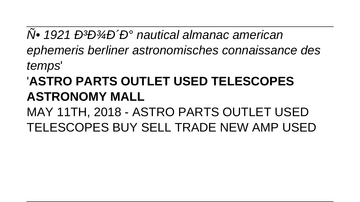$\overline{N}$ • 1921 Đ<sup>3</sup>Đ<sup>3</sup>/Ра nautical almanac american ephemeris berliner astronomisches connaissance des temps'

### **ASTRO PARTS OUTLET USED TELESCOPES ASTRONOMY MALL**

MAY 11TH, 2018 - ASTRO PARTS OUTLET USED TELESCOPES BUY SELL TRADE NEW AMP USED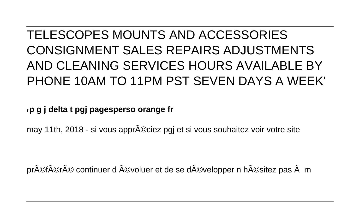### TELESCOPES MOUNTS AND ACCESSORIES CONSIGNMENT SALES REPAIRS ADJUSTMENTS AND CLEANING SERVICES HOURS AVAILABLE BY PHONE 10AM TO 11PM PST SEVEN DAYS A WEEK'

'**p g j delta t pgj pagesperso orange fr**

may 11th, 2018 - si vous appr©ciez pgj et si vous souhaitez voir votre site

préféré continuer d évoluer et de se développer n hésitez pas à m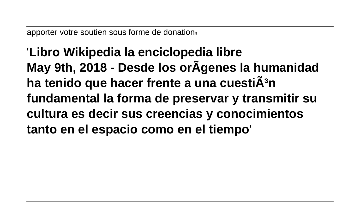apporter votre soutien sous forme de donation'

'**Libro Wikipedia la enciclopedia libre May 9th, 2018 - Desde los orÃgenes la humanidad** ha tenido que hacer frente a una cuesti**Ã**<sup>3</sup>n **fundamental la forma de preservar y transmitir su cultura es decir sus creencias y conocimientos tanto en el espacio como en el tiempo**'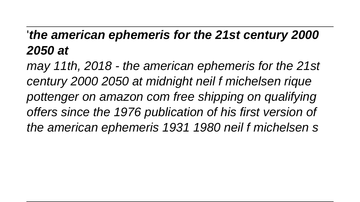### '**the american ephemeris for the 21st century 2000 2050 at**

may 11th, 2018 - the american ephemeris for the 21st century 2000 2050 at midnight neil f michelsen rique pottenger on amazon com free shipping on qualifying offers since the 1976 publication of his first version of the american ephemeris 1931 1980 neil f michelsen s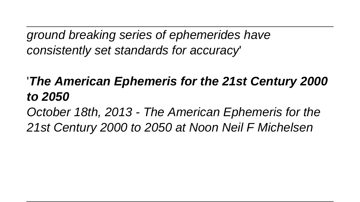ground breaking series of ephemerides have consistently set standards for accuracy'

'**The American Ephemeris for the 21st Century 2000 to 2050**

October 18th, 2013 - The American Ephemeris for the 21st Century 2000 to 2050 at Noon Neil F Michelsen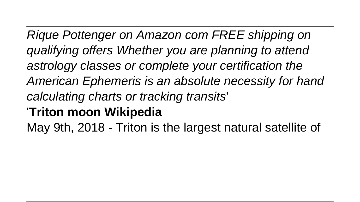Rique Pottenger on Amazon com FREE shipping on qualifying offers Whether you are planning to attend astrology classes or complete your certification the American Ephemeris is an absolute necessity for hand calculating charts or tracking transits' '**Triton moon Wikipedia** May 9th, 2018 - Triton is the largest natural satellite of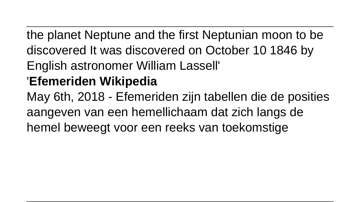the planet Neptune and the first Neptunian moon to be discovered It was discovered on October 10 1846 by English astronomer William Lassell'

### '**Efemeriden Wikipedia**

May 6th, 2018 - Efemeriden zijn tabellen die de posities aangeven van een hemellichaam dat zich langs de hemel beweegt voor een reeks van toekomstige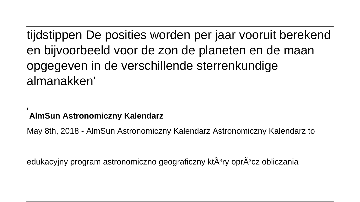tijdstippen De posities worden per jaar vooruit berekend en bijvoorbeeld voor de zon de planeten en de maan opgegeven in de verschillende sterrenkundige almanakken'

#### '**AlmSun Astronomiczny Kalendarz**

May 8th, 2018 - AlmSun Astronomiczny Kalendarz Astronomiczny Kalendarz to

edukacyjny program astronomiczno geograficzny kt $\tilde{A}^3$ ry opr $\tilde{A}^3$ cz obliczania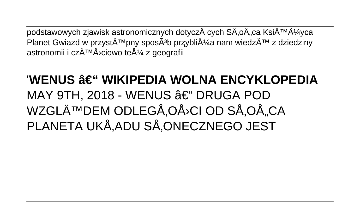podstawowych zjawisk astronomicznych dotyczÄ cych SÅ.oÅ.ca Księżvca Planet Gwiazd w przystępny sposÄ<sup>3</sup>b przybliża nam wiedzÄ™ z dziedziny astronomii i czÄ™Å<sup>></sup>ciowo też z geografii

### 'WENUS – WIKIPEDIA WOLNA ENCYKLOPEDIA MAY 9TH, 2018 - WENUS – DRUGA POD WZGLęDEM ODLEGÅ,OÅ<sup>,</sup>CI OD SÅ,OÅ, CA PLANETA UKÅ, ADU SÅ, ONECZNEGO JEST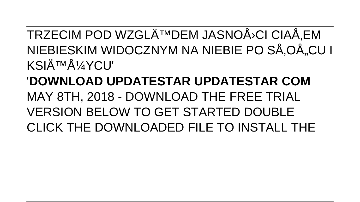TRZECIM POD WZGLęDEM JASNOÅ<sup>}</sup>CI CIAÅ, EM NIEBIESKIM WIDOCZNYM NA NIEBIE PO SÅ.OÅ. CU I **KSIÄTMÅ1/YCLI'** 

**'DOWNI OAD UPDATESTAR UPDATESTAR COM** MAY 8TH, 2018 - DOWNLOAD THE FREE TRIAL **VERSION BELOW TO GET STARTED DOUBLE** CLICK THE DOWNLOADED FILE TO INSTALL THE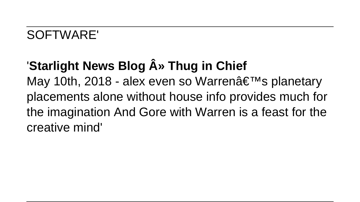### SOFTWARE'

## **'Starlight News Blog A<sup>®</sup> Thug in Chief**

May 10th, 2018 - alex even so Warren's planetary placements alone without house info provides much for the imagination And Gore with Warren is a feast for the creative mind'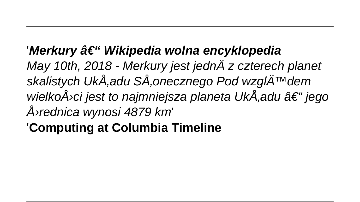### '*Merkury â€* " Wikipedia wolna encyklopedia

May 10th, 2018 - Merkury jest jednÄ z czterech planet skalistych UkÅ adu SÅ onecznego Pod wzglÄ<sup>TM</sup>dem wielkoÅ<sup>,</sup>ci jest to najmniejsza planeta UkÅ, adu – jego średnica wynosi 4879 km'

'**Computing at Columbia Timeline**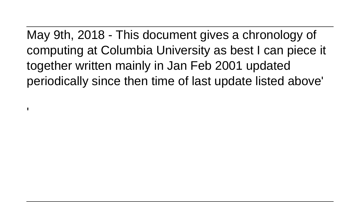May 9th, 2018 - This document gives a chronology of computing at Columbia University as best I can piece it together written mainly in Jan Feb 2001 updated periodically since then time of last update listed above'

'